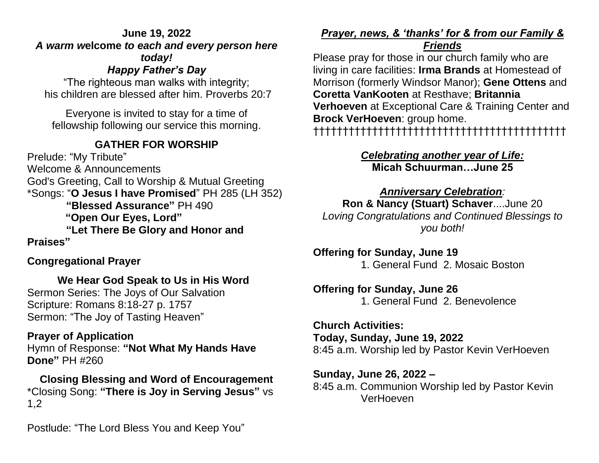#### **June 19, 2022**  *A warm w***elcome** *to each and every person here today! Happy Father's Da[y](https://www.biblestudytools.com/isaiah/12-6.html)*

"The righteous man walks with integrity; his children are blessed after him. Proverbs 20:7

Everyone is invited to stay for a time of fellowship following our service this morning.

# **GATHER FOR WORSHIP**

Prelude: "My Tribute" Welcome & Announcements God's Greeting, Call to Worship & Mutual Greeting \*Songs: "**O Jesus I have Promised**" PH 285 (LH 352) **"Blessed Assurance"** PH 490  **"Open Our Eyes, Lord" "Let There Be Glory and Honor and Praises"** 

# **Congregational Prayer**

**We Hear God Speak to Us in His Word** Sermon Series: The Joys of Our Salvation Scripture: Romans 8:18-27 p. 1757 Sermon: "The Joy of Tasting Heaven"

#### **Prayer of Application**

Hymn of Response: **"Not What My Hands Have Done"** PH #260

**Closing Blessing and Word of Encouragement** \*Closing Song: **"There is Joy in Serving Jesus"** vs 1,2

Postlude: "The Lord Bless You and Keep You"

## *Prayer, news, & 'thanks' for & from our Family &*

#### *Friends*

Please pray for those in our church family who are living in care facilities: **Irma Brands** at Homestead of Morrison (formerly Windsor Manor); **Gene Ottens** and **Coretta VanKooten** at Resthave; **Britannia Verhoeven** at Exceptional Care & Training Center and **Brock VerHoeven**: group home. †††††††††††††††††††††††††††††††††††††††††††

## *Celebrating another year of Life:* **Micah Schuurman…June 25**

#### *Anniversary Celebration:* **Ron & Nancy (Stuart) Schaver**....June 20 *Loving Congratulations and Continued Blessings to*

*you both!* 

**Offering for Sunday, June 19** 1. General Fund 2. Mosaic Boston

# **Offering for Sunday, June 26** 1. General Fund 2. Benevolence

## **Church Activities: Today, Sunday, June 19, 2022** 8:45 a.m. Worship led by Pastor Kevin VerHoeven

**Sunday, June 26, 2022 –** 8:45 a.m. Communion Worship led by Pastor Kevin VerHoeven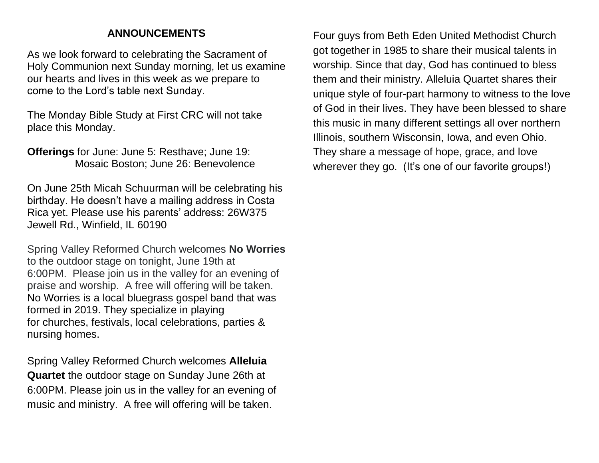## **ANNOUNCEMENTS**

As we look forward to celebrating the Sacrament of Holy Communion next Sunday morning, let us examine our hearts and lives in this week as we prepare to come to the Lord's table next Sunday.

The Monday Bible Study at First CRC will not take place this Monday.

**Offerings** for June: June 5: Resthave; June 19: Mosaic Boston; June 26: Benevolence

On June 25th Micah Schuurman will be celebrating his birthday. He doesn't have a mailing address in Costa Rica yet. Please use his parents' address: 26W375 Jewell Rd., Winfield, IL 60190

Spring Valley Reformed Church welcomes **No Worries** to the outdoor stage on tonight, June 19th at 6:00PM. Please join us in the valley for an evening of praise and worship. A free will offering will be taken. No Worries is a local bluegrass gospel band that was formed in 2019. They specialize in playing for churches, festivals, local celebrations, parties & nursing homes.

Spring Valley Reformed Church welcomes **Alleluia Quartet** the outdoor stage on Sunday June 26th at 6:00PM. Please join us in the valley for an evening of music and ministry. A free will offering will be taken.

Four guys from Beth Eden United Methodist Church got together in 1985 to share their musical talents in worship. Since that day, God has continued to bless them and their ministry. Alleluia Quartet shares their unique style of four-part harmony to witness to the love of God in their lives. They have been blessed to share this music in many different settings all over northern Illinois, southern Wisconsin, Iowa, and even Ohio. They share a message of hope, grace, and love wherever they go. (It's one of our favorite groups!)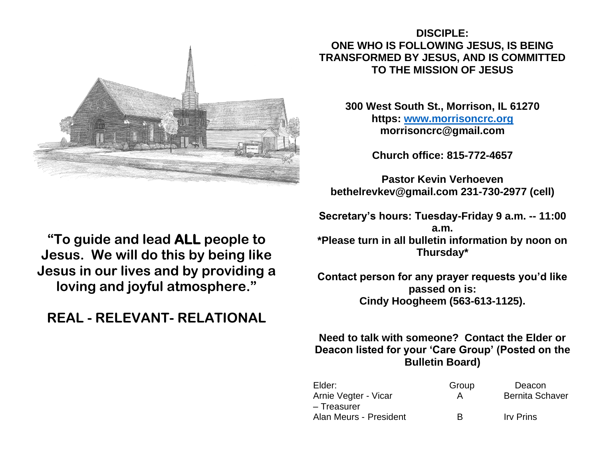

## **DISCIPLE: ONE WHO IS FOLLOWING JESUS, IS BEING TRANSFORMED BY JESUS, AND IS COMMITTED TO THE MISSION OF JESUS**

**300 West South St., Morrison, IL 61270 https: [www.morrisoncrc.org](http://www.morrisoncrc.org/) morrisoncrc@gmail.com**

**Church office: 815-772-4657**

**Pastor Kevin Verhoeven bethelrevkev@gmail.com 231-730-2977 (cell)**

**Secretary's hours: Tuesday-Friday 9 a.m. -- 11:00 a.m. \*Please turn in all bulletin information by noon on Thursday\***

**Contact person for any prayer requests you'd like passed on is: Cindy Hoogheem (563-613-1125).**

## **Need to talk with someone? Contact the Elder or Deacon listed for your 'Care Group' (Posted on the Bulletin Board)**

| Elder:                 | Group | Deacon                 |
|------------------------|-------|------------------------|
| Arnie Vegter - Vicar   | А     | <b>Bernita Schaver</b> |
| – Treasurer            |       |                        |
| Alan Meurs - President | R     | <b>Irv Prins</b>       |

**"To guide and lead ALL people to Jesus. We will do this by being like Jesus in our lives and by providing a loving and joyful atmosphere."**

# **REAL - RELEVANT- RELATIONAL**